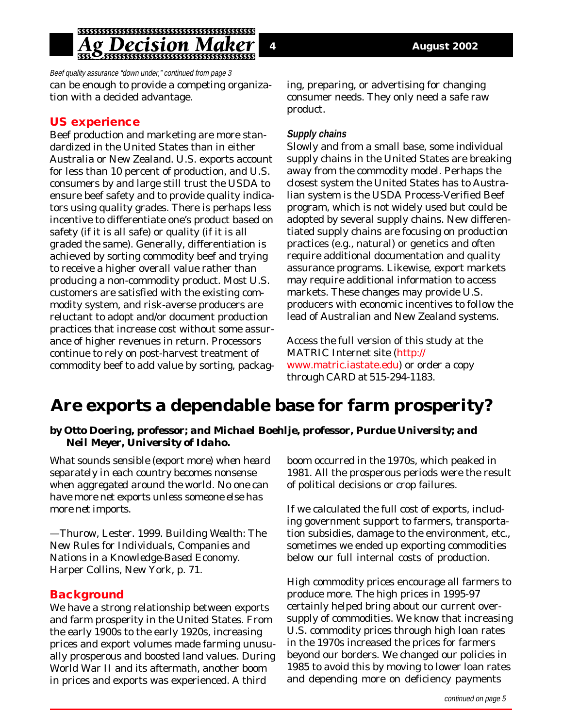## g Decision N

Beef quality assurance "down under," continued from page 3 can be enough to provide a competing organization with a decided advantage.

## **US experience**

Beef production and marketing are more standardized in the United States than in either Australia or New Zealand. U.S. exports account for less than 10 percent of production, and U.S. consumers by and large still trust the USDA to ensure beef safety and to provide quality indicators using quality grades. There is perhaps less incentive to differentiate one's product based on safety (if it is all safe) or quality (if it is all graded the same). Generally, differentiation is achieved by sorting commodity beef and trying to receive a higher overall value rather than producing a non-commodity product. Most U.S. customers are satisfied with the existing commodity system, and risk-averse producers are reluctant to adopt and/or document production practices that increase cost without some assurance of higher revenues in return. Processors continue to rely on post-harvest treatment of commodity beef to add value by sorting, packaging, preparing, or advertising for changing consumer needs. They only need a safe raw product.

#### **Supply chains**

Slowly and from a small base, some individual supply chains in the United States are breaking away from the commodity model. Perhaps the closest system the United States has to Australian system is the USDA Process-Verified Beef program, which is not widely used but could be adopted by several supply chains. New differentiated supply chains are focusing on production practices (e.g., natural) or genetics and often require additional documentation and quality assurance programs. Likewise, export markets may require additional information to access markets. These changes may provide U.S. producers with economic incentives to follow the lead of Australian and New Zealand systems.

Access the full version of this study at the MATRIC Internet site (http:// www.matric.iastate.edu) or order a copy through CARD at 515-294-1183.

# **Are exports a dependable base for farm prosperity?**

#### *by Otto Doering, professor; and Michael Boehlje, professor, Purdue University; and Neil Meyer, University of Idaho.*

*What sounds sensible (export more) when heard separately in each country becomes nonsense when aggregated around the world. No one can have more net exports unless someone else has more net imports.*

*—*Thurow, Lester. 1999. *Building Wealth: The New Rules for Individuals, Companies and Nations in a Knowledge-Based Economy*. Harper Collins, New York, p. 71.

#### **Background**

We have a strong relationship between exports and farm prosperity in the United States. From the early 1900s to the early 1920s, increasing prices and export volumes made farming unusually prosperous and boosted land values. During World War II and its aftermath, another boom in prices and exports was experienced. A third

boom occurred in the 1970s, which peaked in 1981. All the prosperous periods were the result of political decisions or crop failures.

If we calculated the full cost of exports, including government support to farmers, transportation subsidies, damage to the environment, etc., sometimes we ended up exporting commodities below our full internal costs of production.

High commodity prices encourage all farmers to produce more. The high prices in 1995-97 certainly helped bring about our current oversupply of commodities. We know that increasing U.S. commodity prices through high loan rates in the 1970s increased the prices for farmers beyond our borders. We changed our policies in 1985 to avoid this by moving to lower loan rates and depending more on deficiency payments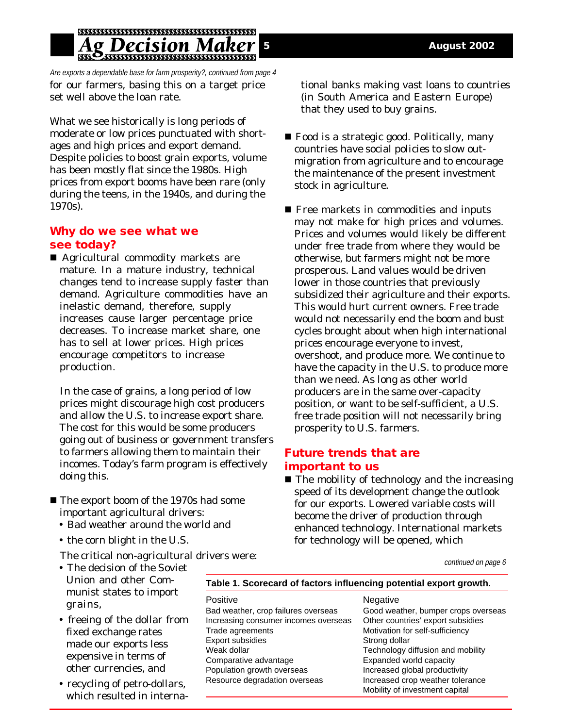# Decision M

Are exports a dependable base for farm prosperity?, continued from page 4 for our farmers, basing this on a target price set well above the loan rate.

What we see historically is long periods of moderate or low prices punctuated with shortages and high prices and export demand. Despite policies to boost grain exports, volume has been mostly flat since the 1980s. High prices from export booms have been rare (only during the teens, in the 1940s, and during the 1970s).

### **Why do we see what we see today?**

■ Agricultural commodity markets are mature. In a mature industry, technical changes tend to increase supply faster than demand. Agriculture commodities have an inelastic demand, therefore, supply increases cause larger percentage price decreases. To increase market share, one has to sell at lower prices. High prices encourage competitors to increase production.

In the case of grains, a long period of low prices might discourage high cost producers and allow the U.S. to increase export share. The cost for this would be some producers going out of business or government transfers to farmers allowing them to maintain their incomes. Today's farm program is effectively doing this.

- The export boom of the 1970s had some important agricultural drivers:
	- Bad weather around the world and
	- the corn blight in the U.S.

The critical non-agricultural drivers were:

- The decision of the Soviet Union and other Communist states to import grains,
- freeing of the dollar from fixed exchange rates made our exports less expensive in terms of other currencies, and
- recycling of petro-dollars, which resulted in interna-

tional banks making vast loans to countries (in South America and Eastern Europe) that they used to buy grains.

- $\blacksquare$  Food is a strategic good. Politically, many countries have social policies to slow outmigration from agriculture and to encourage the maintenance of the present investment stock in agriculture.
- $\blacksquare$  <br> Free markets in commodities and inputs may not make for high prices and volumes. Prices and volumes would likely be different under free trade from where they would be otherwise, but farmers might not be more prosperous. Land values would be driven lower in those countries that previously subsidized their agriculture and their exports. This would hurt current owners. Free trade would not necessarily end the boom and bust cycles brought about when high international prices encourage everyone to invest, overshoot, and produce more. We continue to have the capacity in the U.S. to produce more than we need. As long as other world producers are in the same over-capacity position, or want to be self-sufficient, a U.S. free trade position will not necessarily bring prosperity to U.S. farmers.

## **Future trends that are important to us**

 $\blacksquare$  The mobility of technology and the increasing speed of its development change the outlook for our exports. Lowered variable costs will become the driver of production through enhanced technology. International markets for technology will be opened, which

continued on page 6

#### **Table 1. Scorecard of factors influencing potential export growth.**

Positive Negative Negative Bad weather, crop failures overseas Good weather, bumper crops overseas Increasing consumer incomes overseas Other countries' export subsidies Trade agreements Motivation for self-sufficiency Export subsidies Strong dollar Weak dollar **Technology diffusion and mobility** Comparative advantage Expanded world capacity Population growth overseas Increased global productivity Resource degradation overseas Increased crop weather tolerance

Mobility of investment capital